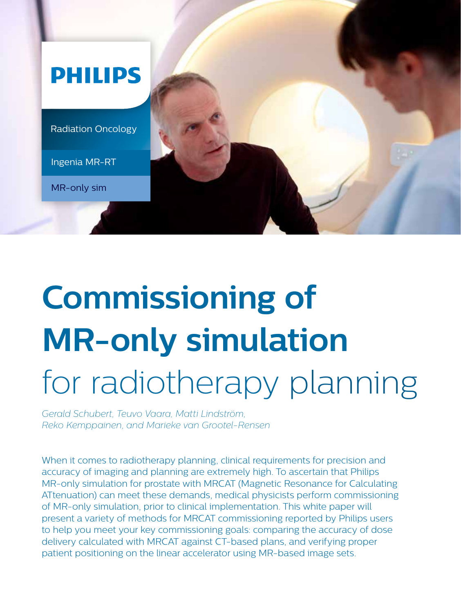

# **Commissioning of MR-only simulation** for radiotherapy planning

*Gerald Schubert, Teuvo Vaara, Matti Lindström, Reko Kemppainen, and Marieke van Grootel-Rensen*

When it comes to radiotherapy planning, clinical requirements for precision and accuracy of imaging and planning are extremely high. To ascertain that Philips MR-only simulation for prostate with MRCAT (Magnetic Resonance for Calculating ATtenuation) can meet these demands, medical physicists perform commissioning of MR-only simulation, prior to clinical implementation. This white paper will present a variety of methods for MRCAT commissioning reported by Philips users to help you meet your key commissioning goals: comparing the accuracy of dose delivery calculated with MRCAT against CT-based plans, and verifying proper patient positioning on the linear accelerator using MR-based image sets.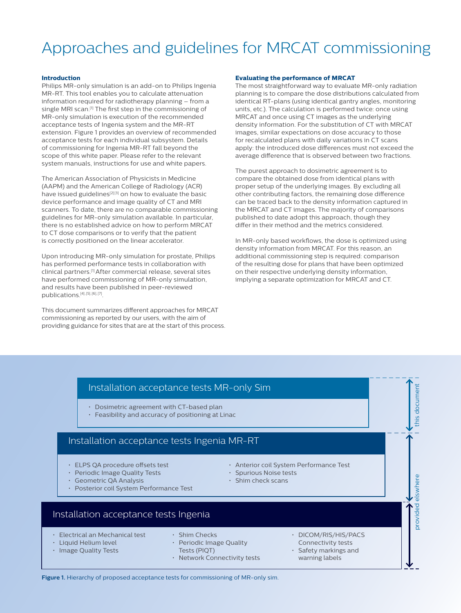## Approaches and guidelines for MRCAT commissioning

### **Introduction**

Philips MR-only simulation is an add-on to Philips Ingenia MR-RT. This tool enables you to calculate attenuation information required for radiotherapy planning – from a single MRI scan.<sup>[1]</sup> The first step in the commissioning of MR-only simulation is execution of the recommended acceptance tests of Ingenia system and the MR-RT extension. Figure 1 provides an overview of recommended acceptance tests for each individual subsystem. Details of commissioning for Ingenia MR-RT fall beyond the scope of this white paper. Please refer to the relevant system manuals, instructions for use and white papers.

The American Association of Physicists in Medicine (AAPM) and the American College of Radiology (ACR) have issued guidelines<sup>[2][3]</sup> on how to evaluate the basic device performance and image quality of CT and MRI scanners. To date, there are no comparable commissioning guidelines for MR-only simulation available. In particular, there is no established advice on how to perform MRCAT to CT dose comparisons or to verify that the patient is correctly positioned on the linear accelerator.

Upon introducing MR-only simulation for prostate, Philips has performed performance tests in collaboration with clinical partners.[1] After commercial release, several sites have performed commissioning of MR-only simulation, and results have been published in peer-reviewed publications.<sup>[4],[5],[6],[7]</sup>.

This document summarizes different approaches for MRCAT commissioning as reported by our users, with the aim of providing guidance for sites that are at the start of this process.

### **Evaluating the performance of MRCAT**

The most straightforward way to evaluate MR-only radiation planning is to compare the dose distributions calculated from identical RT-plans (using identical gantry angles, monitoring units, etc.). The calculation is performed twice: once using MRCAT and once using CT images as the underlying density information. For the substitution of CT with MRCAT images, similar expectations on dose accuracy to those for recalculated plans with daily variations in CT scans apply: the introduced dose differences must not exceed the average difference that is observed between two fractions.

The purest approach to dosimetric agreement is to compare the obtained dose from identical plans with proper setup of the underlying images. By excluding all other contributing factors, the remaining dose difference can be traced back to the density information captured in the MRCAT and CT images. The majority of comparisons published to date adopt this approach, though they differ in their method and the metrics considered.

In MR-only based workflows, the dose is optimized using density information from MRCAT. For this reason, an additional commissioning step is required: comparison of the resulting dose for plans that have been optimized on their respective underlying density information, implying a separate optimization for MRCAT and CT.

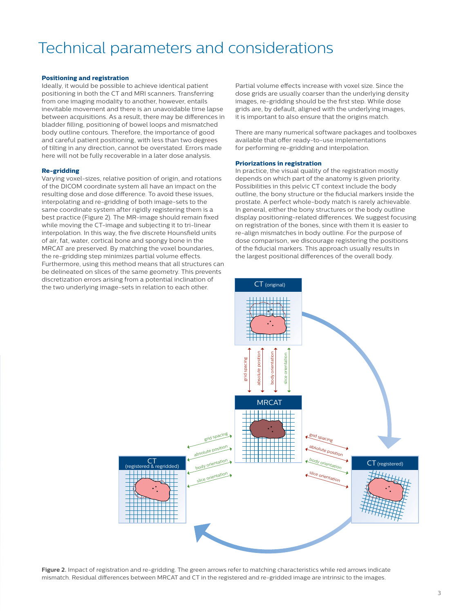### Technical parameters and considerations

### **Positioning and registration**

Ideally, it would be possible to achieve identical patient positioning in both the CT and MRI scanners. Transferring from one imaging modality to another, however, entails inevitable movement and there is an unavoidable time lapse between acquisitions. As a result, there may be differences in bladder filling, positioning of bowel loops and mismatched body outline contours. Therefore, the importance of good and careful patient positioning, with less than two degrees of tilting in any direction, cannot be overstated. Errors made here will not be fully recoverable in a later dose analysis.

### **Re-gridding**

Varying voxel-sizes, relative position of origin, and rotations of the DICOM coordinate system all have an impact on the resulting dose and dose difference. To avoid these issues, interpolating and re-gridding of both image-sets to the same coordinate system after rigidly registering them is a best practice (Figure 2). The MR-image should remain fixed while moving the CT-image and subjecting it to tri-linear interpolation. In this way, the five discrete Hounsfield units of air, fat, water, cortical bone and spongy bone in the MRCAT are preserved. By matching the voxel boundaries, the re-gridding step minimizes partial volume effects. Furthermore, using this method means that all structures can be delineated on slices of the same geometry. This prevents discretization errors arising from a potential inclination of the two underlying image-sets in relation to each other.

Partial volume effects increase with voxel size. Since the dose grids are usually coarser than the underlying density images, re-gridding should be the first step. While dose grids are, by default, aligned with the underlying images, it is important to also ensure that the origins match.

There are many numerical software packages and toolboxes available that offer ready-to-use implementations for performing re-gridding and interpolation.

### **Priorizations in registration**

In practice, the visual quality of the registration mostly depends on which part of the anatomy is given priority. Possibilities in this pelvic CT context include the body outline, the bony structure or the fiducial markers inside the prostate. A perfect whole-body match is rarely achievable. In general, either the bony structures or the body outline display positioning-related differences. We suggest focusing on registration of the bones, since with them it is easier to re-align mismatches in body outline. For the purpose of dose comparison, we discourage registering the positions of the fiducial markers. This approach usually results in the largest positional differences of the overall body.



**Figure 2.** Impact of registration and re-gridding. The green arrows refer to matching characteristics while red arrows indicate mismatch. Residual differences between MRCAT and CT in the registered and re-gridded image are intrinsic to the images.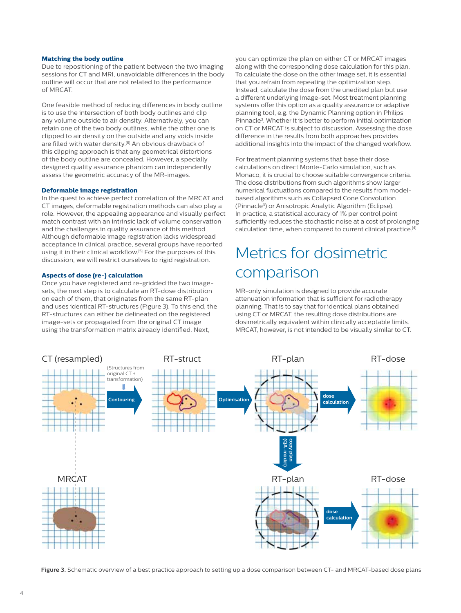### **Matching the body outline**

Due to repositioning of the patient between the two imaging sessions for CT and MRI, unavoidable differences in the body outline will occur that are not related to the performance of MRCAT.

One feasible method of reducing differences in body outline is to use the intersection of both body outlines and clip any volume outside to air density. Alternatively, you can retain one of the two body outlines, while the other one is clipped to air density on the outside and any voids inside are filled with water density.<sup>[8]</sup> An obvious drawback of this clipping approach is that any geometrical distortions of the body outline are concealed. However, a specially designed quality assurance phantom can independently assess the geometric accuracy of the MR-images.

### **Deformable image registration**

In the quest to achieve perfect correlation of the MRCAT and CT images, deformable registration methods can also play a role. However, the appealing appearance and visually perfect match contrast with an intrinsic lack of volume conservation and the challenges in quality assurance of this method. Although deformable image registration lacks widespread acceptance in clinical practice, several groups have reported using it in their clinical workflow.[5] For the purposes of this discussion, we will restrict ourselves to rigid registration.

### **Aspects of dose (re-) calculation**

Once you have registered and re-gridded the two imagesets, the next step is to calculate an RT-dose distribution on each of them, that originates from the same RT-plan and uses identical RT-structures (Figure 3). To this end, the RT-structures can either be delineated on the registered image-sets or propagated from the original CT image using the transformation matrix already identified. Next,

you can optimize the plan on either CT or MRCAT images along with the corresponding dose calculation for this plan. To calculate the dose on the other image set, it is essential that you refrain from repeating the optimization step. Instead, calculate the dose from the unedited plan but use a different underlying image-set. Most treatment planning systems offer this option as a quality assurance or adaptive planning tool, e.g. the Dynamic Planning option in Philips Pinnacle3. Whether it is better to perform initial optimization on CT or MRCAT is subject to discussion. Assessing the dose difference in the results from both approaches provides additional insights into the impact of the changed workflow.

For treatment planning systems that base their dose calculations on direct Monte-Carlo simulation, such as Monaco, it is crucial to choose suitable convergence criteria. The dose distributions from such algorithms show larger numerical fluctuations compared to the results from modelbased algorithms such as Collapsed Cone Convolution (Pinnacle3 ) or Anisotropic Analytic Algorithm (Eclipse). In practice, a statistical accuracy of 1% per control point sufficiently reduces the stochastic noise at a cost of prolonging calculation time, when compared to current clinical practice.[4]

### Metrics for dosimetric comparison

MR-only simulation is designed to provide accurate attenuation information that is sufficient for radiotherapy planning. That is to say that for identical plans obtained using CT or MRCAT, the resulting dose distributions are dosimetrically equivalent within clinically acceptable limits. MRCAT, however, is not intended to be visually similar to CT.



**Figure 3.** Schematic overview of a best practice approach to setting up a dose comparison between CT- and MRCAT-based dose plans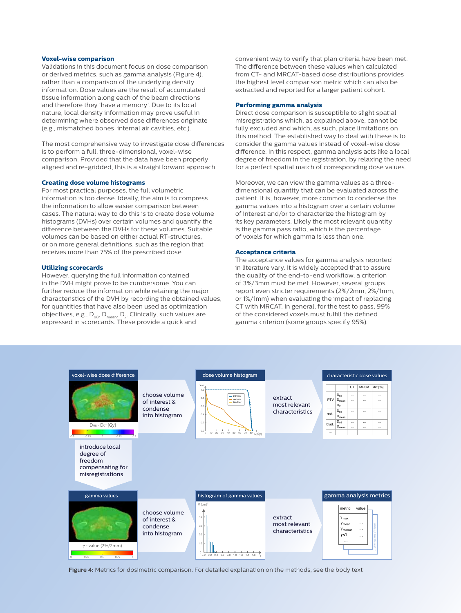### **Voxel-wise comparison**

Validations in this document focus on dose comparison or derived metrics, such as gamma analysis (Figure 4), rather than a comparison of the underlying density information. Dose values are the result of accumulated tissue information along each of the beam directions and therefore they 'have a memory'. Due to its local nature, local density information may prove useful in determining where observed dose differences originate (e.g., mismatched bones, internal air cavities, etc.).

The most comprehensive way to investigate dose differences is to perform a full, three-dimensional, voxel-wise comparison. Provided that the data have been properly aligned and re-gridded, this is a straightforward approach.

### **Creating dose volume histograms**

For most practical purposes, the full volumetric information is too dense. Ideally, the aim is to compress the information to allow easier comparison between cases. The natural way to do this is to create dose volume histograms (DVHs) over certain volumes and quantify the difference between the DVHs for these volumes. Suitable volumes can be based on either actual RT-structures, or on more general definitions, such as the region that receives more than 75% of the prescribed dose.

### **Utilizing scorecards**

However, querying the full information contained in the DVH might prove to be cumbersome. You can further reduce the information while retaining the major characteristics of the DVH by recording the obtained values, for quantities that have also been used as optimization objectives, e.g., D<sub>98</sub>, D<sub>mean</sub>, D<sub>2</sub>. Clinically, such values are<br>expressed in scorecards. These provide a quick and

convenient way to verify that plan criteria have been met. The difference between these values when calculated from CT- and MRCAT-based dose distributions provides the highest level comparison metric which can also be extracted and reported for a larger patient cohort.

### **Performing gamma analysis**

Direct dose comparison is susceptible to slight spatial misregistrations which, as explained above, cannot be fully excluded and which, as such, place limitations on this method. The established way to deal with these is to consider the gamma values instead of voxel-wise dose difference. In this respect, gamma analysis acts like a local degree of freedom in the registration, by relaxing the need for a perfect spatial match of corresponding dose values.

Moreover, we can view the gamma values as a threedimensional quantity that can be evaluated across the patient. It is, however, more common to condense the gamma values into a histogram over a certain volume of interest and/or to characterize the histogram by its key parameters. Likely the most relevant quantity is the gamma pass ratio, which is the percentage of voxels for which gamma is less than one.

### **Acceptance criteria**

The acceptance values for gamma analysis reported in literature vary. It is widely accepted that to assure the quality of the end-to-end workflow, a criterion of 3%/3mm must be met. However, several groups report even stricter requirements (2%/2mm, 2%/1mm, or 1%/1mm) when evaluating the impact of replacing CT with MRCAT. In general, for the test to pass, 99% of the considered voxels must fulfill the defined gamma criterion (some groups specify 95%).



**Figure 4:** Metrics for dosimetric comparison. For detailed explanation on the methods, see the body text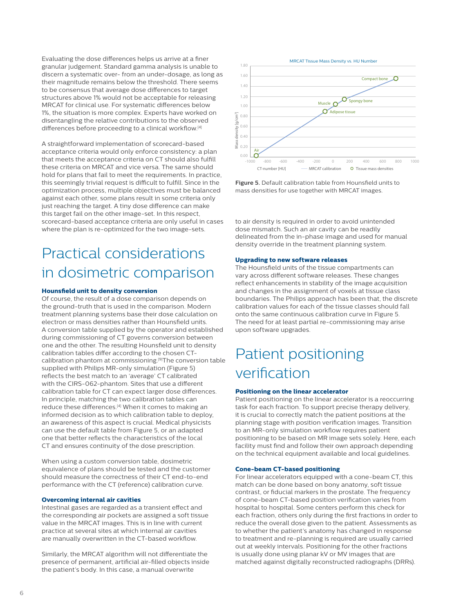Evaluating the dose differences helps us arrive at a finer granular judgement. Standard gamma analysis is unable to discern a systematic over- from an under-dosage, as long as their magnitude remains below the threshold. There seems to be consensus that average dose differences to target structures above 1% would not be acceptable for releasing MRCAT for clinical use. For systematic differences below 1%, the situation is more complex. Experts have worked on disentangling the relative contributions to the observed differences before proceeding to a clinical workflow.<sup>[4]</sup>

A straightforward implementation of scorecard-based acceptance criteria would only enforce consistency: a plan that meets the acceptance criteria on CT should also fulfill these criteria on MRCAT and vice versa. The same should hold for plans that fail to meet the requirements. In practice, this seemingly trivial request is difficult to fulfill. Since in the optimization process, multiple objectives must be balanced against each other, some plans result in some criteria only just reaching the target. A tiny dose difference can make this target fail on the other image-set. In this respect, scorecard-based acceptance criteria are only useful in cases where the plan is re-optimized for the two image-sets.

### Practical considerations in dosimetric comparison

### **Hounsfield unit to density conversion**

Of course, the result of a dose comparison depends on the ground-truth that is used in the comparison. Modern treatment planning systems base their dose calculation on electron or mass densities rather than Hounsfield units. A conversion table supplied by the operator and established during commissioning of CT governs conversion between one and the other. The resulting Hounsfield unit to density calibration tables differ according to the chosen CTcalibration phantom at commissioning.[9]The conversion table supplied with Philips MR-only simulation (Figure 5) reflects the best match to an 'average' CT calibrated with the CIRS-062-phantom. Sites that use a different calibration table for CT can expect larger dose differences. In principle, matching the two calibration tables can reduce these differences.[4] When it comes to making an informed decision as to which calibration table to deploy, an awareness of this aspect is crucial. Medical physicists can use the default table from Figure 5, or an adapted one that better reflects the characteristics of the local CT and ensures continuity of the dose prescription.

When using a custom conversion table, dosimetric equivalence of plans should be tested and the customer should measure the correctness of their CT end-to-end performance with the CT (reference) calibration curve.

### **Overcoming internal air cavities**

Intestinal gases are regarded as a transient effect and the corresponding air pockets are assigned a soft tissue value in the MRCAT images. This is in line with current practice at several sites at which internal air cavities are manually overwritten in the CT-based workflow.

Similarly, the MRCAT algorithm will not differentiate the presence of permanent, artificial air-filled objects inside the patient's body. In this case, a manual overwrite



**Figure 5.** Default calibration table from Hounsfield units to mass densities for use together with MRCAT images.

to air density is required in order to avoid unintended dose mismatch. Such an air cavity can be readily delineated from the in-phase image and used for manual density override in the treatment planning system.

### **Upgrading to new software releases**

The Hounsfield units of the tissue compartments can vary across different software releases. These changes reflect enhancements in stability of the image acquisition and changes in the assignment of voxels at tissue class boundaries. The Philips approach has been that, the discrete calibration values for each of the tissue classes should fall onto the same continuous calibration curve in Figure 5. The need for at least partial re-commissioning may arise upon software upgrades.

### Patient positioning verification

### **Positioning on the linear accelerator**

Patient positioning on the linear accelerator is a reoccurring task for each fraction. To support precise therapy delivery, it is crucial to correctly match the patient positions at the planning stage with position verification images. Transition to an MR-only simulation workflow requires patient positioning to be based on MR image sets solely. Here, each facility must find and follow their own approach depending on the technical equipment available and local guidelines.

### **Cone-beam CT-based positioning**

For linear accelerators equipped with a cone-beam CT, this match can be done based on bony anatomy, soft tissue contrast, or fiducial markers in the prostate. The frequency of cone-beam CT-based position verification varies from hospital to hospital. Some centers perform this check for each fraction, others only during the first fractions in order to reduce the overall dose given to the patient. Assessments as to whether the patient's anatomy has changed in response to treatment and re-planning is required are usually carried out at weekly intervals. Positioning for the other fractions is usually done using planar kV or MV images that are matched against digitally reconstructed radiographs (DRRs).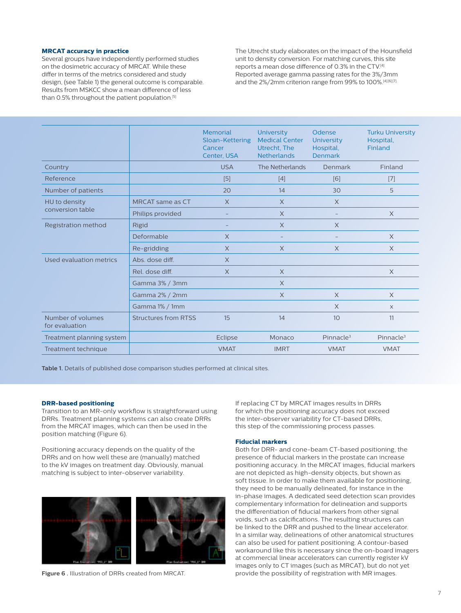### **MRCAT accuracy in practice**

Several groups have independently performed studies on the dosimetric accuracy of MRCAT. While these differ in terms of the metrics considered and study design, (see Table 1) the general outcome is comparable. Results from MSKCC show a mean difference of less than 0.5% throughout the patient population.[5]

The Utrecht study elaborates on the impact of the Hounsfield unit to density conversion. For matching curves, this site reports a mean dose difference of 0.3% in the CTV.[4] Reported average gamma passing rates for the 3%/3mm and the 2%/2mm criterion range from 99% to 100%.<sup>[4][6][7].</sup>

|                                     |                             | <b>Memorial</b><br>Sloan-Kettering<br>Cancer<br>Center, USA | <b>University</b><br><b>Medical Center</b><br>Utrecht, The<br><b>Netherlands</b> | Odense<br><b>University</b><br>Hospital,<br><b>Denmark</b> | <b>Turku University</b><br>Hospital,<br>Finland |
|-------------------------------------|-----------------------------|-------------------------------------------------------------|----------------------------------------------------------------------------------|------------------------------------------------------------|-------------------------------------------------|
| Country                             |                             | <b>USA</b>                                                  | The Netherlands                                                                  | Denmark                                                    | Finland                                         |
| Reference                           |                             | $[5]$                                                       | [4]                                                                              | [6]                                                        | $[7]$                                           |
| Number of patients                  |                             | 20                                                          | 14                                                                               | 30                                                         | 5                                               |
| HU to density<br>conversion table   | MRCAT same as CT            | $\times$                                                    | $\times$                                                                         | $\times$                                                   |                                                 |
|                                     | Philips provided            |                                                             | $\times$                                                                         | $\overline{\phantom{0}}$                                   | $\times$                                        |
| Registration method                 | <b>Rigid</b>                |                                                             | $\times$                                                                         | $\times$                                                   |                                                 |
|                                     | Deformable                  | $\times$                                                    | $\overline{\phantom{0}}$                                                         | $\overline{\phantom{a}}$                                   | $\times$                                        |
|                                     | Re-gridding                 | $\times$                                                    | $\times$                                                                         | $\times$                                                   | $\times$                                        |
| Used evaluation metrics             | Abs. dose diff.             | $\times$                                                    |                                                                                  |                                                            |                                                 |
|                                     | Rel. dose diff.             | $\times$                                                    | $\times$                                                                         |                                                            | X                                               |
|                                     | Gamma 3% / 3mm              |                                                             | $\times$                                                                         |                                                            |                                                 |
|                                     | Gamma 2% / 2mm              |                                                             | $\times$                                                                         | $\times$                                                   | $\times$                                        |
|                                     | Gamma 1% / 1mm              |                                                             |                                                                                  | $\times$                                                   | $\times$                                        |
| Number of volumes<br>for evaluation | <b>Structures from RTSS</b> | 15                                                          | 14                                                                               | 10                                                         | 11                                              |
| Treatment planning system           |                             | Eclipse                                                     | Monaco                                                                           | Pinnacle <sup>3</sup>                                      | Pinnacle <sup>3</sup>                           |
| Treatment technique                 |                             | <b>VMAT</b>                                                 | <b>IMRT</b>                                                                      | <b>VMAT</b>                                                | <b>VMAT</b>                                     |
|                                     |                             |                                                             |                                                                                  |                                                            |                                                 |

**Table 1.** Details of published dose comparison studies performed at clinical sites.

### **DRR-based positioning**

Transition to an MR-only workflow is straightforward using DRRs. Treatment planning systems can also create DRRs from the MRCAT images, which can then be used in the position matching (Figure 6).

Positioning accuracy depends on the quality of the DRRs and on how well these are (manually) matched to the kV images on treatment day. Obviously, manual matching is subject to inter-observer variability.



**Figure 6 .** Illustration of DRRs created from MRCAT.

If replacing CT by MRCAT images results in DRRs for which the positioning accuracy does not exceed the inter-observer variability for CT-based DRRs, this step of the commissioning process passes.

### **Fiducial markers**

Both for DRR- and cone-beam CT-based positioning, the presence of fiducial markers in the prostate can increase positioning accuracy. In the MRCAT images, fiducial markers are not depicted as high-density objects, but shown as soft tissue. In order to make them available for positioning, they need to be manually delineated, for instance in the in-phase images. A dedicated seed detection scan provides complementary information for delineation and supports the differentiation of fiducial markers from other signal voids, such as calcifications. The resulting structures can be linked to the DRR and pushed to the linear accelerator. In a similar way, delineations of other anatomical structures can also be used for patient positioning. A contour-based workaround like this is necessary since the on-board imagers at commercial linear accelerators can currently register kV images only to CT images (such as MRCAT), but do not yet provide the possibility of registration with MR images.